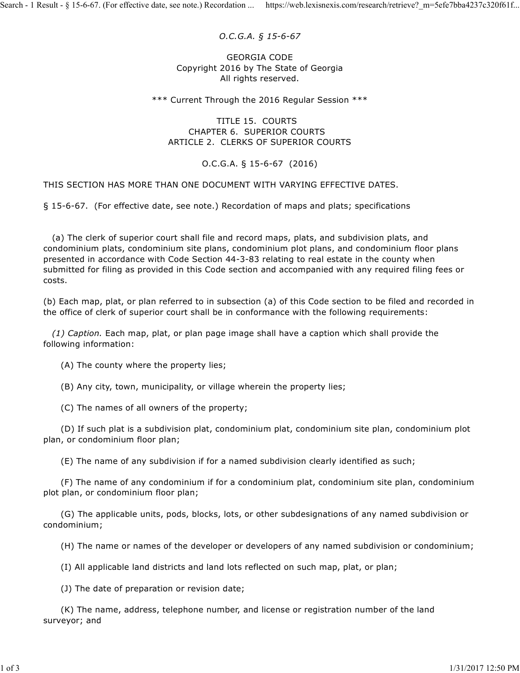## O.C.G.A. § 15-6-67

GEORGIA CODE Copyright 2016 by The State of Georgia All rights reserved.

\*\*\* Current Through the 2016 Regular Session \*\*\*

TITLE 15. COURTS CHAPTER 6. SUPERIOR COURTS ARTICLE 2. CLERKS OF SUPERIOR COURTS

## O.C.G.A. § 15-6-67 (2016)

THIS SECTION HAS MORE THAN ONE DOCUMENT WITH VARYING EFFECTIVE DATES.

§ 15-6-67. (For effective date, see note.) Recordation of maps and plats; specifications

 (a) The clerk of superior court shall file and record maps, plats, and subdivision plats, and condominium plats, condominium site plans, condominium plot plans, and condominium floor plans presented in accordance with Code Section 44-3-83 relating to real estate in the county when submitted for filing as provided in this Code section and accompanied with any required filing fees or costs.

(b) Each map, plat, or plan referred to in subsection (a) of this Code section to be filed and recorded in the office of clerk of superior court shall be in conformance with the following requirements:

 $(1)$  Caption. Each map, plat, or plan page image shall have a caption which shall provide the following information:

(A) The county where the property lies;

(B) Any city, town, municipality, or village wherein the property lies;

(C) The names of all owners of the property;

 (D) If such plat is a subdivision plat, condominium plat, condominium site plan, condominium plot plan, or condominium floor plan;

(E) The name of any subdivision if for a named subdivision clearly identified as such;

 (F) The name of any condominium if for a condominium plat, condominium site plan, condominium plot plan, or condominium floor plan; (E) The name of any subdivision if for a named subdivision clearly identified as such;<br>
(F) The name of any condominium if for a condominium plat, condominium site plan, condominium<br>
plot plan, or condominium floor plan;<br>

 (G) The applicable units, pods, blocks, lots, or other subdesignations of any named subdivision or condominium;

(H) The name or names of the developer or developers of any named subdivision or condominium;

(I) All applicable land districts and land lots reflected on such map, plat, or plan;

(J) The date of preparation or revision date;

 (K) The name, address, telephone number, and license or registration number of the land surveyor; and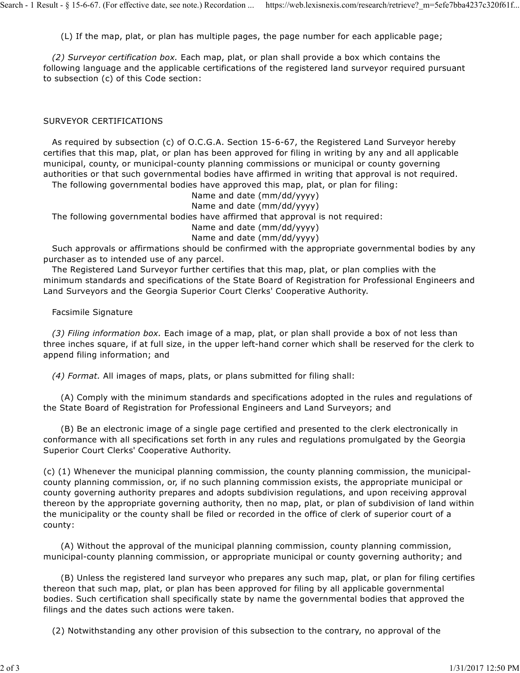(L) If the map, plat, or plan has multiple pages, the page number for each applicable page; Search - 1 Result - § 15-6-67. (For effective date, see note.) Recordation ... https://web.lexisnexis.com/research/retrieve?\_m=5efe7bba4237c320f61f...<br>(L) If the map, plat, or plan has multiple pages, the page number for e

 (2) Surveyor certification box. Each map, plat, or plan shall provide a box which contains the following language and the applicable certifications of the registered land surveyor required pursuant to subsection (c) of this Code section:

## SURVEYOR CERTIFICATIONS

 As required by subsection (c) of O.C.G.A. Section 15-6-67, the Registered Land Surveyor hereby certifies that this map, plat, or plan has been approved for filing in writing by any and all applicable municipal, county, or municipal-county planning commissions or municipal or county governing authorities or that such governmental bodies have affirmed in writing that approval is not required.

The following governmental bodies have approved this map, plat, or plan for filing:

Name and date (mm/dd/yyyy)

Name and date (mm/dd/yyyy)

The following governmental bodies have affirmed that approval is not required:

Name and date (mm/dd/yyyy)

Name and date (mm/dd/yyyy)

 Such approvals or affirmations should be confirmed with the appropriate governmental bodies by any purchaser as to intended use of any parcel.

 The Registered Land Surveyor further certifies that this map, plat, or plan complies with the minimum standards and specifications of the State Board of Registration for Professional Engineers and Land Surveyors and the Georgia Superior Court Clerks' Cooperative Authority.

## Facsimile Signature

 (3) Filing information box. Each image of a map, plat, or plan shall provide a box of not less than three inches square, if at full size, in the upper left-hand corner which shall be reserved for the clerk to append filing information; and

(4) Format. All images of maps, plats, or plans submitted for filing shall:

 (A) Comply with the minimum standards and specifications adopted in the rules and regulations of the State Board of Registration for Professional Engineers and Land Surveyors; and

 (B) Be an electronic image of a single page certified and presented to the clerk electronically in conformance with all specifications set forth in any rules and regulations promulgated by the Georgia Superior Court Clerks' Cooperative Authority.

(c) (1) Whenever the municipal planning commission, the county planning commission, the municipalcounty planning commission, or, if no such planning commission exists, the appropriate municipal or county governing authority prepares and adopts subdivision regulations, and upon receiving approval thereon by the appropriate governing authority, then no map, plat, or plan of subdivision of land within the municipality or the county shall be filed or recorded in the office of clerk of superior court of a county: Superior Court Clerks' Cooperative Authority.<br>
(c) (1) Whenever the municipal planning commission, the county planning commission, the municipal-<br>
county planning commission, or, if no such planning commission exists, the

 (A) Without the approval of the municipal planning commission, county planning commission, municipal-county planning commission, or appropriate municipal or county governing authority; and

 (B) Unless the registered land surveyor who prepares any such map, plat, or plan for filing certifies thereon that such map, plat, or plan has been approved for filing by all applicable governmental bodies. Such certification shall specifically state by name the governmental bodies that approved the filings and the dates such actions were taken.

(2) Notwithstanding any other provision of this subsection to the contrary, no approval of the